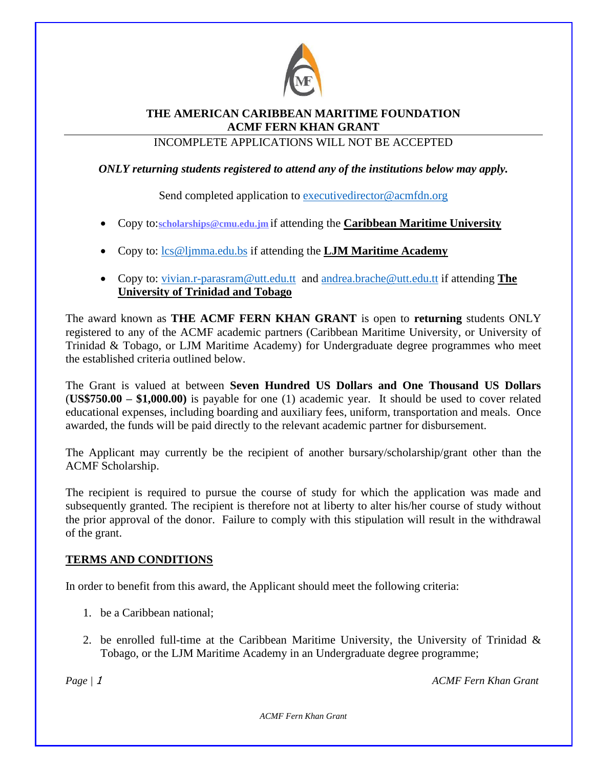

#### **THE AMERICAN CARIBBEAN MARITIME FOUNDATION ACMF FERN KHAN GRANT**

INCOMPLETE APPLICATIONS WILL NOT BE ACCEPTED

*ONLY returning students registered to attend any of the institutions below may apply.*

Send completed application to executive director@acmfdn.org

- Copy to:**scholarships@cmu.edu.jm** if attending the **Caribbean Maritime University**
- Copy to: [lcs@ljmma.edu.bs](mailto:lcs@ljmma.edu.bs) if attending the **LJM Maritime Academy**
- Copy to: [vivian.r-parasram@utt.edu.tt](mailto:vivian.r-parasram@utt.edu.tt) and [andrea.brache@utt.edu.tt](mailto:andrea.brache@utt.edu.tt) if attending **The University of Trinidad and Tobago**

The award known as **THE ACMF FERN KHAN GRANT** is open to **returning** students ONLY registered to any of the ACMF academic partners (Caribbean Maritime University, or University of Trinidad & Tobago, or LJM Maritime Academy) for Undergraduate degree programmes who meet the established criteria outlined below.

The Grant is valued at between **Seven Hundred US Dollars and One Thousand US Dollars** (**US\$750.00 – \$1,000.00)** is payable for one (1) academic year. It should be used to cover related educational expenses, including boarding and auxiliary fees, uniform, transportation and meals. Once awarded, the funds will be paid directly to the relevant academic partner for disbursement.

The Applicant may currently be the recipient of another bursary/scholarship/grant other than the ACMF Scholarship.

The recipient is required to pursue the course of study for which the application was made and subsequently granted. The recipient is therefore not at liberty to alter his/her course of study without the prior approval of the donor. Failure to comply with this stipulation will result in the withdrawal of the grant.

#### **TERMS AND CONDITIONS**

In order to benefit from this award, the Applicant should meet the following criteria:

- 1. be a Caribbean national;
- 2. be enrolled full-time at the Caribbean Maritime University, the University of Trinidad  $\&$ Tobago, or the LJM Maritime Academy in an Undergraduate degree programme;

*Page |* 1 *ACMF Fern Khan Grant*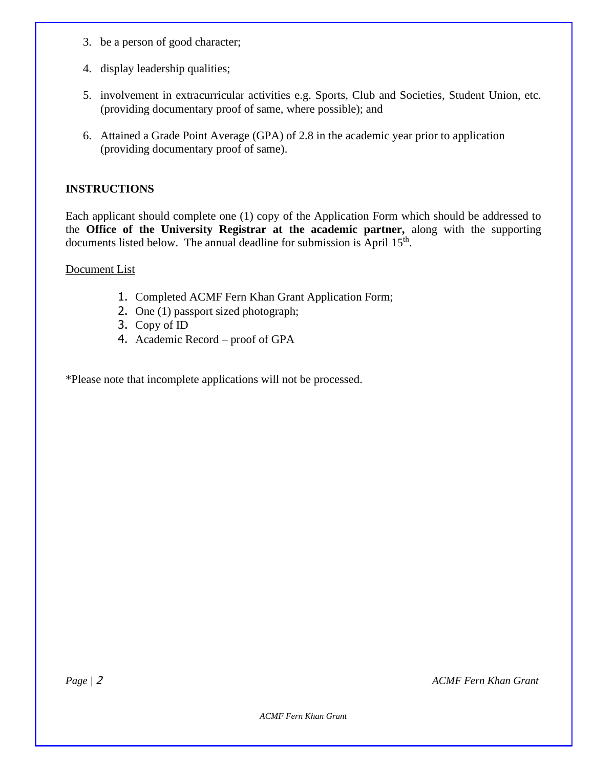- 3. be a person of good character;
- 4. display leadership qualities;
- 5. involvement in extracurricular activities e.g. Sports, Club and Societies, Student Union, etc. (providing documentary proof of same, where possible); and
- 6. Attained a Grade Point Average (GPA) of 2.8 in the academic year prior to application (providing documentary proof of same).

### **INSTRUCTIONS**

Each applicant should complete one (1) copy of the Application Form which should be addressed to the **Office of the University Registrar at the academic partner,** along with the supporting documents listed below. The annual deadline for submission is April  $15<sup>th</sup>$ .

Document List

- 1. Completed ACMF Fern Khan Grant Application Form;
- 2. One (1) passport sized photograph;
- 3. Copy of ID
- 4. Academic Record proof of GPA

\*Please note that incomplete applications will not be processed.

*Page |* 2 *ACMF Fern Khan Grant*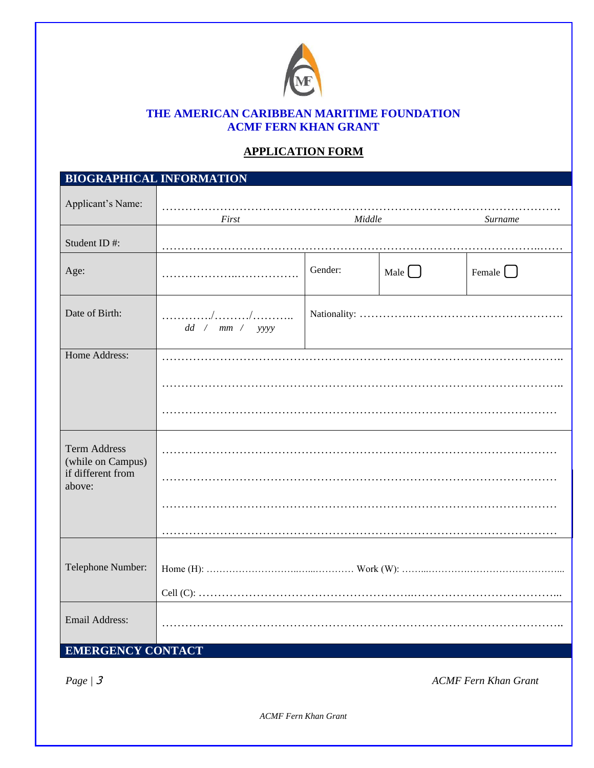

## **THE AMERICAN CARIBBEAN MARITIME FOUNDATION ACMF FERN KHAN GRANT**

# **APPLICATION FORM**

|                                          | <b>BIOGRAPHICAL INFORMATION</b> |         |             |               |  |
|------------------------------------------|---------------------------------|---------|-------------|---------------|--|
| Applicant's Name:                        | First                           | Middle  |             | Surname       |  |
| Student ID#:                             |                                 |         |             |               |  |
| Age:                                     |                                 | Gender: | Male $\Box$ | Female $\Box$ |  |
| Date of Birth:                           | dd / mm / yyyy                  |         |             |               |  |
| Home Address:                            |                                 |         |             |               |  |
|                                          |                                 |         |             |               |  |
|                                          |                                 |         |             |               |  |
| <b>Term Address</b><br>(while on Campus) |                                 |         |             |               |  |
| if different from<br>above:              |                                 |         |             |               |  |
|                                          |                                 |         |             |               |  |
|                                          |                                 |         |             |               |  |
| Telephone Number:                        |                                 |         |             |               |  |
|                                          |                                 |         |             |               |  |
| Email Address:                           |                                 |         |             |               |  |
| <b>EMERGENCY CONTACT</b>                 |                                 |         |             |               |  |

*Page |* 3 *ACMF Fern Khan Grant*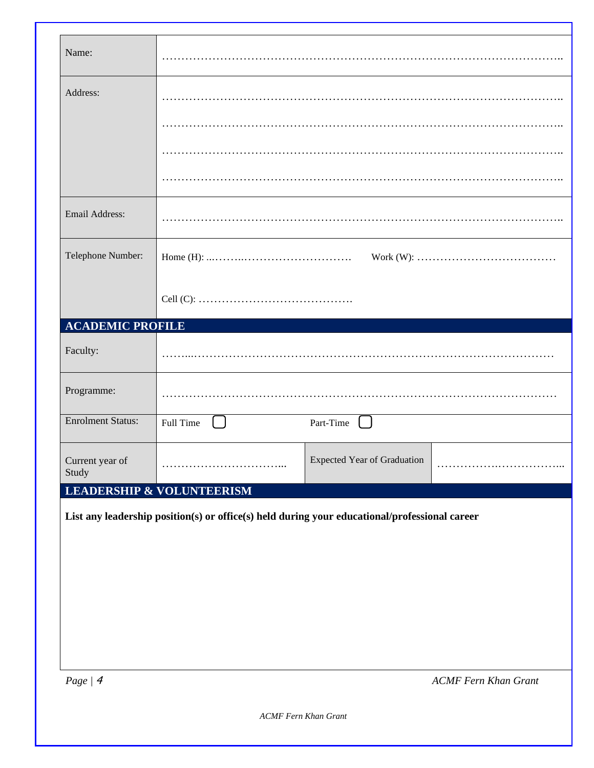| Name:                    |                                                                                               |                                    |                             |
|--------------------------|-----------------------------------------------------------------------------------------------|------------------------------------|-----------------------------|
| Address:                 |                                                                                               |                                    |                             |
|                          |                                                                                               |                                    |                             |
|                          |                                                                                               |                                    |                             |
|                          |                                                                                               |                                    |                             |
| Email Address:           |                                                                                               |                                    |                             |
| Telephone Number:        |                                                                                               |                                    |                             |
|                          |                                                                                               |                                    |                             |
| <b>ACADEMIC PROFILE</b>  |                                                                                               |                                    |                             |
| Faculty:                 |                                                                                               |                                    |                             |
| Programme:               |                                                                                               |                                    |                             |
| <b>Enrolment Status:</b> | Full Time                                                                                     | Part-Time                          |                             |
| Current year of<br>Study |                                                                                               | <b>Expected Year of Graduation</b> |                             |
|                          | <b>LEADERSHIP &amp; VOLUNTEERISM</b>                                                          |                                    |                             |
|                          | List any leadership position(s) or office(s) held during your educational/professional career |                                    |                             |
| Page / 4                 |                                                                                               |                                    | <b>ACMF Fern Khan Grant</b> |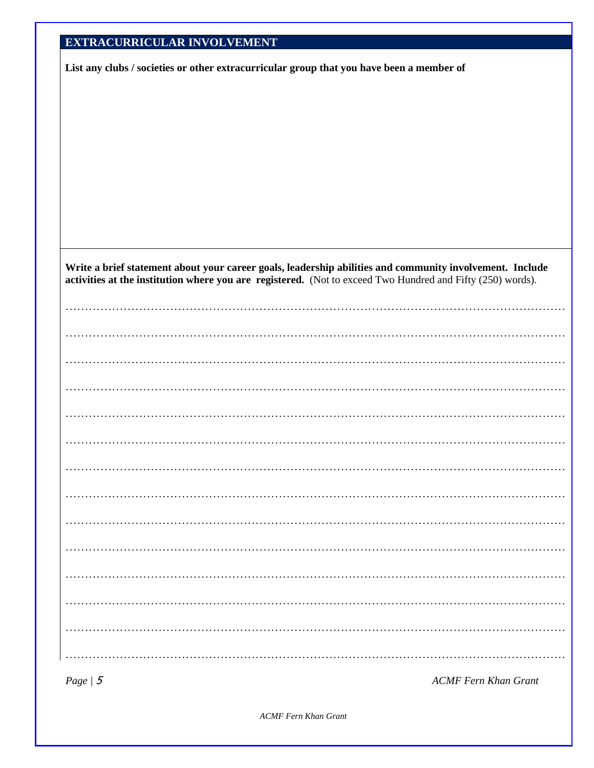# **EXTRACURRICULAR INVOLVEMENT**

**List any clubs / societies or other extracurricular group that you have been a member of** 

**Write a brief statement about your career goals, leadership abilities and community involvement. Include activities at the institution where you are registered.** (Not to exceed Two Hundred and Fifty (250) words).

…………………………………………………………………………………………………………………

*Page |* 5 *ACMF Fern Khan Grant*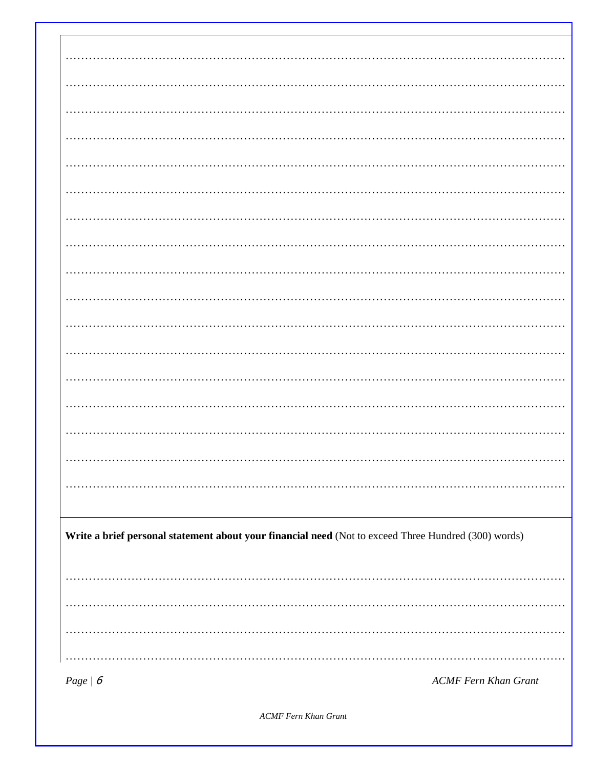| Write a brief personal statement about your financial need (Not to exceed Three Hundred (300) words) |
|------------------------------------------------------------------------------------------------------|
|                                                                                                      |
|                                                                                                      |
|                                                                                                      |
|                                                                                                      |
|                                                                                                      |

 $Page / 6$ 

**ACMF Fern Khan Grant**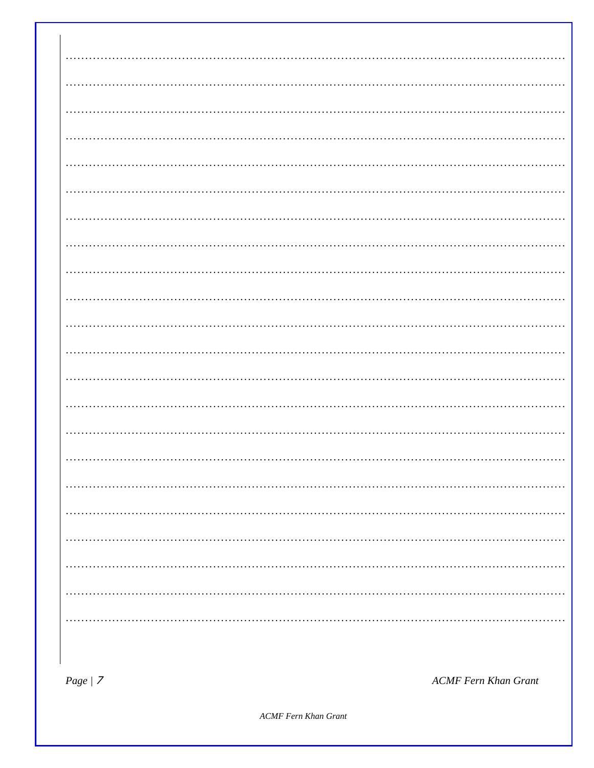$\ddot{\phantom{a}}$ 

**ACMF** Fern Khan Grant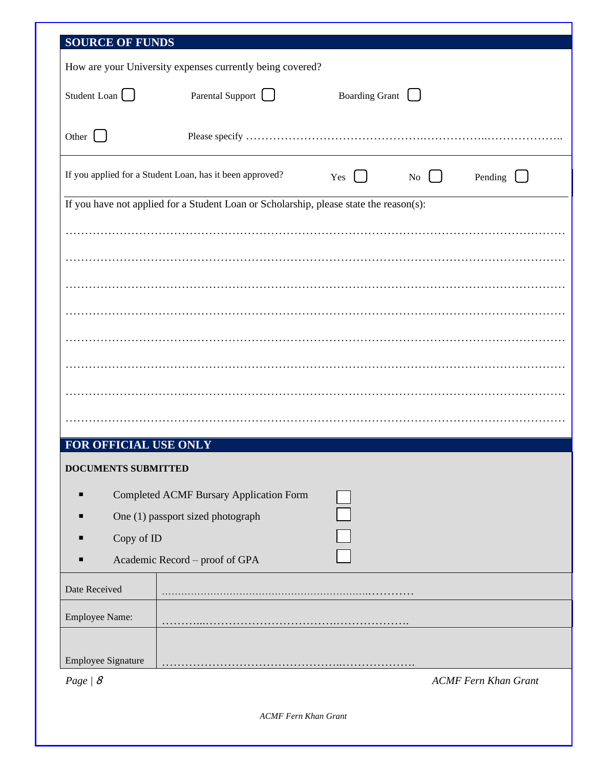| <b>SOURCE OF FUNDS</b>                                    |                                                                                        |                  |                                            |  |
|-----------------------------------------------------------|----------------------------------------------------------------------------------------|------------------|--------------------------------------------|--|
| How are your University expenses currently being covered? |                                                                                        |                  |                                            |  |
| Student Loan $\Box$                                       | Parental Support $\bigcup$                                                             | Boarding Grant U |                                            |  |
| Other $\begin{bmatrix} \end{bmatrix}$                     |                                                                                        |                  |                                            |  |
|                                                           |                                                                                        |                  |                                            |  |
|                                                           | If you applied for a Student Loan, has it been approved?                               | Yes<br>$\Box$    | Pending<br>$\overline{N_0}$ $\overline{J}$ |  |
|                                                           | If you have not applied for a Student Loan or Scholarship, please state the reason(s): |                  |                                            |  |
|                                                           |                                                                                        |                  |                                            |  |
|                                                           |                                                                                        |                  |                                            |  |
|                                                           |                                                                                        |                  |                                            |  |
|                                                           |                                                                                        |                  |                                            |  |
|                                                           |                                                                                        |                  |                                            |  |
|                                                           |                                                                                        |                  |                                            |  |
|                                                           |                                                                                        |                  |                                            |  |
|                                                           |                                                                                        |                  |                                            |  |
| FOR OFFICIAL USE ONLY                                     |                                                                                        |                  |                                            |  |
| <b>DOCUMENTS SUBMITTED</b>                                |                                                                                        |                  |                                            |  |
|                                                           | <b>Completed ACMF Bursary Application Form</b>                                         |                  |                                            |  |
| One (1) passport sized photograph                         |                                                                                        |                  |                                            |  |
| Copy of ID                                                |                                                                                        |                  |                                            |  |
| Academic Record - proof of GPA                            |                                                                                        |                  |                                            |  |
| Date Received                                             |                                                                                        |                  |                                            |  |
| <b>Employee Name:</b>                                     |                                                                                        |                  |                                            |  |
|                                                           |                                                                                        |                  |                                            |  |
| <b>Employee Signature</b>                                 |                                                                                        |                  |                                            |  |
| Page $/ 8$                                                |                                                                                        |                  | <b>ACMF Fern Khan Grant</b>                |  |